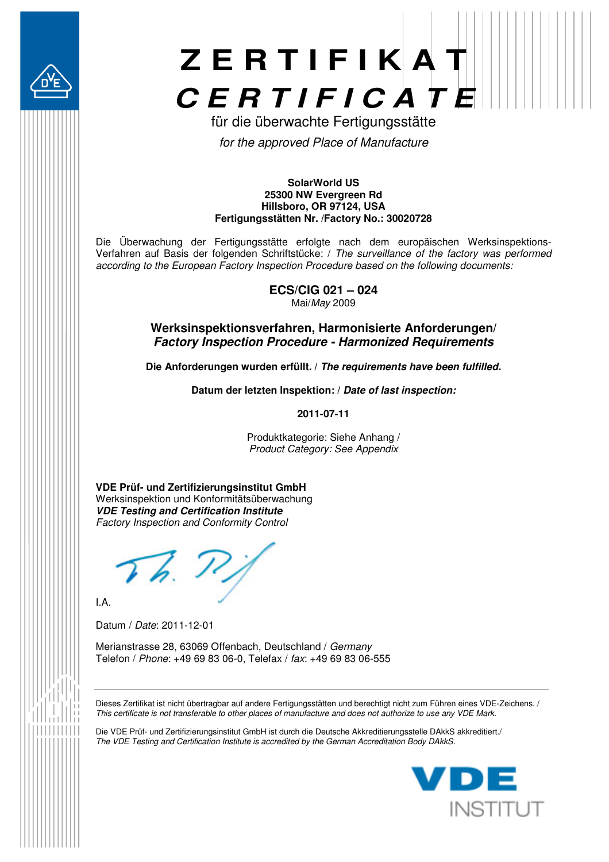



für die überwachte Fertigungsstätte *for the approved Place of Manufacture* 

#### **SolarWorld US 25300 NW Evergreen Rd Hillsboro, OR 97124, USA Fertigungsstätten Nr. /Factory No.: 30020728**

Die Überwachung der Fertigungsstätte erfolgte nach dem europäischen Werksinspektions-Verfahren auf Basis der folgenden Schriftstücke: / *The surveillance of the factory was performed according to the European Factory Inspection Procedure based on the following documents:* 

> **ECS/CIG 021 – 024**  Mai/*May* 2009

### **Werksinspektionsverfahren, Harmonisierte Anforderungen/**  *Factory Inspection Procedure - Harmonized Requirements*

**Die Anforderungen wurden erfüllt. /** *The requirements have been fulfilled.* 

**Datum der letzten Inspektion: /** *Date of last inspection:* 

**2011-07-11** 

Produktkategorie: Siehe Anhang / *Product Category: See Appendix*

**VDE Prüf- und Zertifizierungsinstitut GmbH**  Werksinspektion und Konformitätsüberwachung *VDE Testing and Certification Institute Factory Inspection and Conformity Control* 

I.A.

Datum / *Date*: 2011-12-01

Merianstrasse 28, 63069 Offenbach, Deutschland / *Germany* Telefon / *Phone*: +49 69 83 06-0, Telefax / *fax*: +49 69 83 06-555

Dieses Zertifikat ist nicht übertragbar auf andere Fertigungsstätten und berechtigt nicht zum Führen eines VDE-Zeichens. / *This certificate is not transferable to other places of manufacture and does not authorize to use any VDE Mark.*

Die VDE Prüf- und Zertifizierungsinstitut GmbH ist durch die Deutsche Akkreditierungsstelle DAkkS akkreditiert./ *The VDE Testing and Certification Institute is accredited by the German Accreditation Body DAkkS.* 

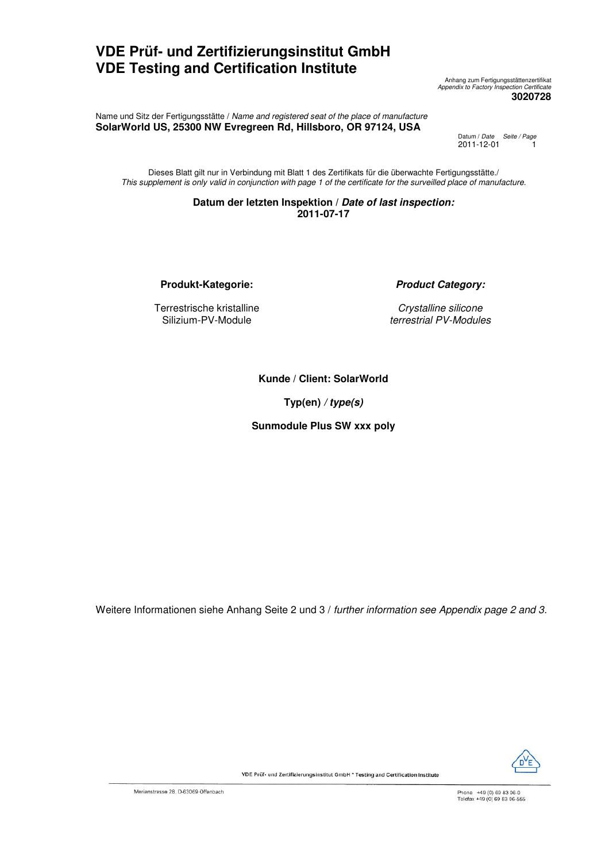## **VDE Prüf- und Zertifizierungsinstitut GmbH VDE Testing and Certification Institute**

Anhang zum Fertigungsstättenzertifikat *Appendix to Factory Inspection Certificate*  **3020728** 

Name und Sitz der Fertigungsstätte / *Name and registered seat of the place of manufacture* **SolarWorld US, 25300 NW Evregreen Rd, Hillsboro, OR 97124, USA** 

Datum / *Date Seite / Page*  2011-12-01 1

Dieses Blatt gilt nur in Verbindung mit Blatt 1 des Zertifikats für die überwachte Fertigungsstätte./ *This supplement is only valid in conjunction with page 1 of the certificate for the surveilled place of manufacture.* 

### **Datum der letzten Inspektion /** *Date of last inspection:*  **2011-07-17**

**Produkt-Kategorie:** *Product Category:*

Terrestrische kristalline Silizium-PV-Module

*Crystalline silicone terrestrial PV-Modules* 

**Kunde / Client: SolarWorld**

**Typ(en)** */ type(s)* 

**Sunmodule Plus SW xxx poly**

Weitere Informationen siehe Anhang Seite 2 und 3 / *further information see Appendix page 2 and 3.*



VDE Prüf- und Zertifizierungsinstitut GmbH \* Testing and Certification Institute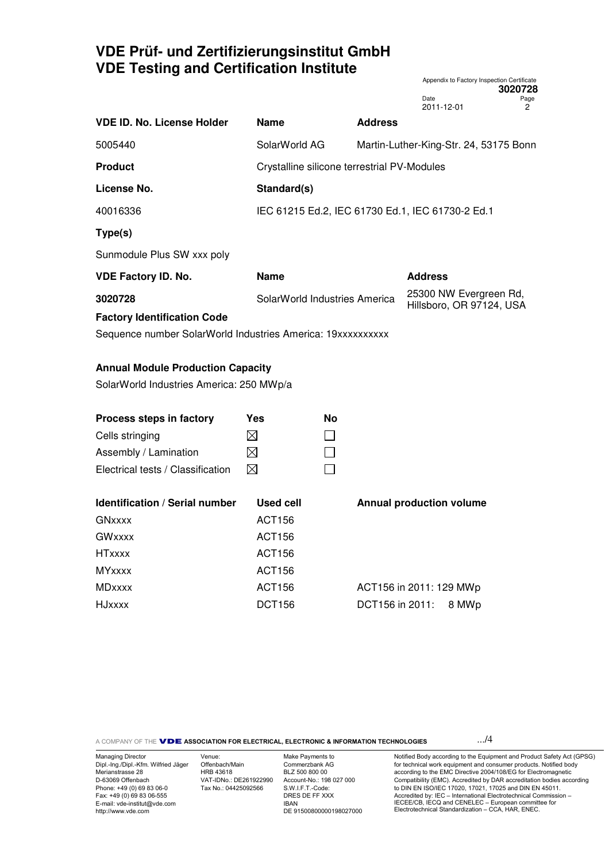# **VDE Prüf- und Zertifizierungsinstitut GmbH VDE Testing and Certification Institute**

|                                                             |                  |                                                  |                |                         |                                                    | 3020728                                |
|-------------------------------------------------------------|------------------|--------------------------------------------------|----------------|-------------------------|----------------------------------------------------|----------------------------------------|
|                                                             |                  |                                                  |                | Date<br>2011-12-01      |                                                    | Page<br>2                              |
| <b>VDE ID. No. License Holder</b>                           | <b>Name</b>      |                                                  | <b>Address</b> |                         |                                                    |                                        |
| 5005440                                                     | SolarWorld AG    |                                                  |                |                         |                                                    | Martin-Luther-King-Str. 24, 53175 Bonn |
| <b>Product</b>                                              |                  | Crystalline silicone terrestrial PV-Modules      |                |                         |                                                    |                                        |
| License No.                                                 | Standard(s)      |                                                  |                |                         |                                                    |                                        |
| 40016336                                                    |                  | IEC 61215 Ed.2, IEC 61730 Ed.1, IEC 61730-2 Ed.1 |                |                         |                                                    |                                        |
| Type(s)                                                     |                  |                                                  |                |                         |                                                    |                                        |
| Sunmodule Plus SW xxx poly                                  |                  |                                                  |                |                         |                                                    |                                        |
| <b>VDE Factory ID. No.</b>                                  | <b>Name</b>      |                                                  |                | <b>Address</b>          |                                                    |                                        |
| 3020728                                                     |                  | SolarWorld Industries America                    |                |                         | 25300 NW Evergreen Rd,<br>Hillsboro, OR 97124, USA |                                        |
| <b>Factory Identification Code</b>                          |                  |                                                  |                |                         |                                                    |                                        |
| Sequence number SolarWorld Industries America: 19xxxxxxxxxx |                  |                                                  |                |                         |                                                    |                                        |
| <b>Annual Module Production Capacity</b>                    |                  |                                                  |                |                         |                                                    |                                        |
| SolarWorld Industries America: 250 MWp/a                    |                  |                                                  |                |                         |                                                    |                                        |
|                                                             |                  |                                                  |                |                         |                                                    |                                        |
| Process steps in factory                                    | <b>Yes</b>       | <b>No</b>                                        |                |                         |                                                    |                                        |
| Cells stringing                                             | $\bowtie$        |                                                  |                |                         |                                                    |                                        |
| Assembly / Lamination                                       | ⊠                |                                                  |                |                         |                                                    |                                        |
| Electrical tests / Classification                           | ⊠                |                                                  |                |                         |                                                    |                                        |
| <b>Identification / Serial number</b>                       | <b>Used cell</b> |                                                  |                |                         | <b>Annual production volume</b>                    |                                        |
| GNxxxx                                                      | <b>ACT156</b>    |                                                  |                |                         |                                                    |                                        |
| <b>GWxxxx</b>                                               | <b>ACT156</b>    |                                                  |                |                         |                                                    |                                        |
| <b>HTxxxx</b>                                               | <b>ACT156</b>    |                                                  |                |                         |                                                    |                                        |
| <b>MYxxxx</b>                                               | <b>ACT156</b>    |                                                  |                |                         |                                                    |                                        |
| <b>MDxxxx</b>                                               | <b>ACT156</b>    |                                                  |                | ACT156 in 2011: 129 MWp |                                                    |                                        |
| <b>HJxxxx</b>                                               | <b>DCT156</b>    |                                                  |                | DCT156 in 2011:         | 8 MWp                                              |                                        |
|                                                             |                  |                                                  |                |                         |                                                    |                                        |

A COMPANY OF THE Q**ASSOCIATION FOR ELECTRICAL, ELECTRONIC & INFORMATION TECHNOLOGIES** .../4

Appendix to Factory Inspection Certificate

Managing Director Dipl.-Ing./Dipl.-Kfm. Wilfried Jäger Merianstrasse 28 D-63069 Offenbach Phone: +49 (0) 69 83 06-0 Fax: +49 (0) 69 83 06-555 E-mail: vde-institut@vde.com http://www.vde.com

Venue: Offenbach/Main HRB 43618 VAT-IDNo.: DE261922990 Tax No.: 04425092566

Make Payments to Commerzbank AG BLZ 500 800 00 Account-No.: 198 027 000 S.W.I.F.T.-Code: DRES DE FF XXX IBAN DE 91500800000198027000

Notified Body according to the Equipment and Product Safety Act (GPSG) for technical work equipment and consumer products. Notified body according to the EMC Directive 2004/108/EG for Electromagnetic Compatibility (EMC). Accredited by DAR accreditation bodies according to DIN EN ISO/IEC 17020, 17021, 17025 and DIN EN 45011. Accredited by: IEC – International Electrotechnical Commission – IECEE/CB, IECQ and CENELEC – European committee for Electrotechnical Standardization – CCA, HAR, ENEC.